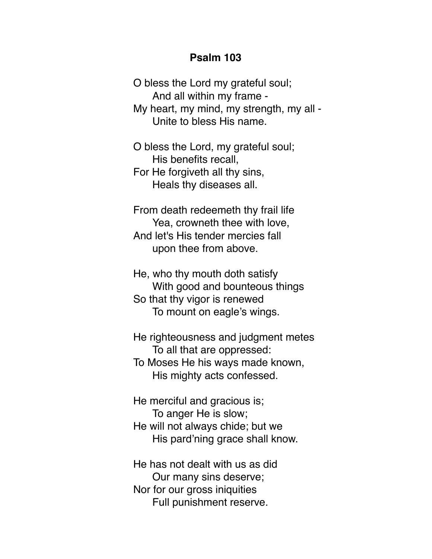## **Psalm 103**

O bless the Lord my grateful soul; And all within my frame - My heart, my mind, my strength, my all - Unite to bless His name.

O bless the Lord, my grateful soul; His benefits recall, For He forgiveth all thy sins, Heals thy diseases all.

From death redeemeth thy frail life Yea, crowneth thee with love, And let's His tender mercies fall upon thee from above.

He, who thy mouth doth satisfy With good and bounteous things So that thy vigor is renewed To mount on eagle's wings.

He righteousness and judgment metes To all that are oppressed: To Moses He his ways made known, His mighty acts confessed.

He merciful and gracious is; To anger He is slow; He will not always chide; but we His pard'ning grace shall know.

He has not dealt with us as did Our many sins deserve; Nor for our gross iniquities Full punishment reserve.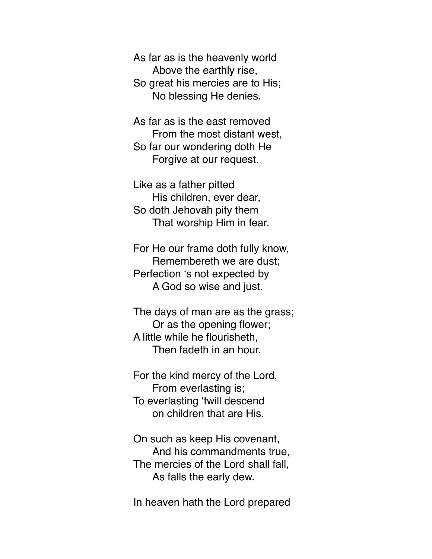As far as is the heavenly world Above the earthly rise, So great his mercies are to His; No blessing He denies.

As far as is the east removed From the most distant west, So far our wondering doth He Forgive at our request.

Like as a father pitted His children, ever dear, So doth Jehovah pity them That worship Him in fear.

For He our frame doth fully know, Remembereth we are dust; Perfection 's not expected by A God so wise and just.

The days of man are as the grass; Or as the opening flower; A little while he flourisheth, Then fadeth in an hour.

For the kind mercy of the Lord, From everlasting is; To everlasting 'twill descend on children that are His.

On such as keep His covenant, And his commandments true, The mercies of the Lord shall fall, As falls the early dew.

In heaven hath the Lord prepared